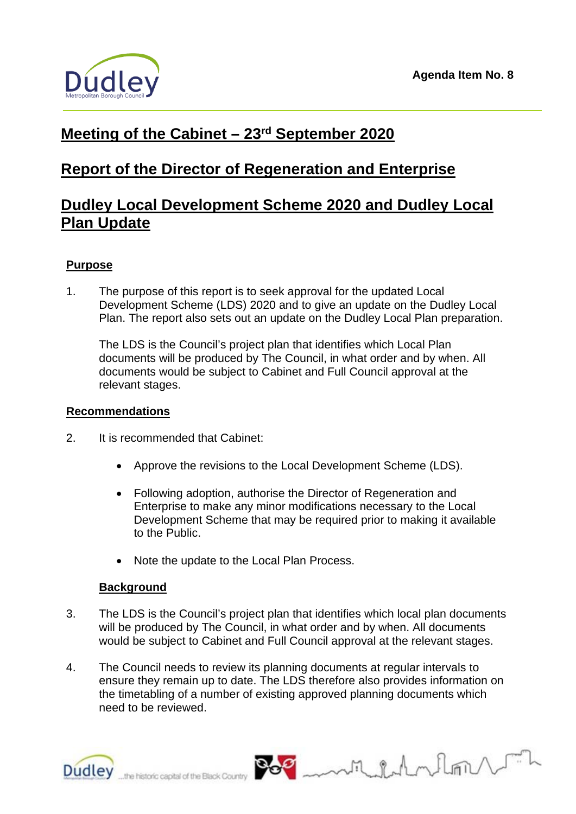

# **Meeting of the Cabinet – 23rd September 2020**

# **Report of the Director of Regeneration and Enterprise**

## **Dudley Local Development Scheme 2020 and Dudley Local Plan Update**

## **Purpose**

1. The purpose of this report is to seek approval for the updated Local Development Scheme (LDS) 2020 and to give an update on the Dudley Local Plan. The report also sets out an update on the Dudley Local Plan preparation.

The LDS is the Council's project plan that identifies which Local Plan documents will be produced by The Council, in what order and by when. All documents would be subject to Cabinet and Full Council approval at the relevant stages.

### **Recommendations**

- 2. It is recommended that Cabinet:
	- Approve the revisions to the Local Development Scheme (LDS).
	- Following adoption, authorise the Director of Regeneration and Enterprise to make any minor modifications necessary to the Local Development Scheme that may be required prior to making it available to the Public.
	- Note the update to the Local Plan Process.

## **Background**

- 3. The LDS is the Council's project plan that identifies which local plan documents will be produced by The Council, in what order and by when. All documents would be subject to Cabinet and Full Council approval at the relevant stages.
- 4. The Council needs to review its planning documents at regular intervals to ensure they remain up to date. The LDS therefore also provides information on the timetabling of a number of existing approved planning documents which need to be reviewed.



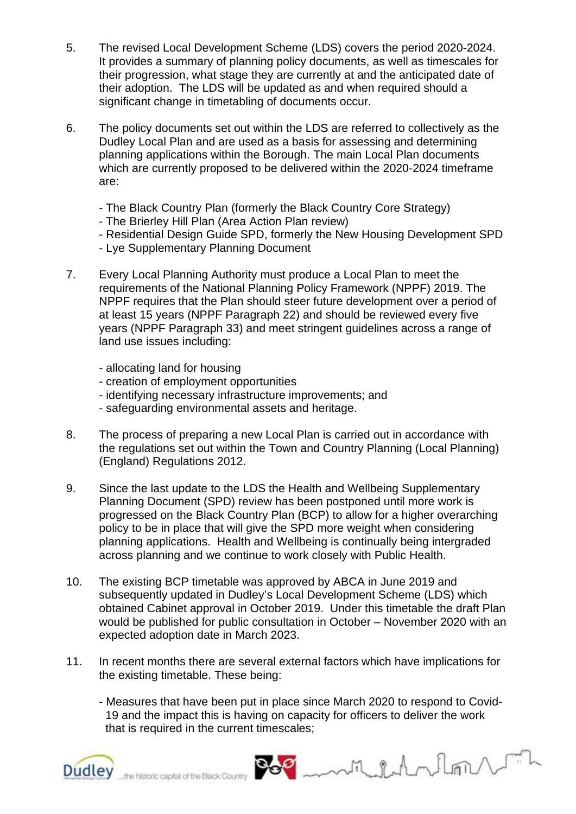- 5. The revised Local Development Scheme (LDS) covers the period 2020-2024. It provides a summary of planning policy documents, as well as timescales for their progression, what stage they are currently at and the anticipated date of their adoption. The LDS will be updated as and when required should a significant change in timetabling of documents occur.
- 6. The policy documents set out within the LDS are referred to collectively as the Dudley Local Plan and are used as a basis for assessing and determining planning applications within the Borough. The main Local Plan documents which are currently proposed to be delivered within the 2020-2024 timeframe are:
	- The Black Country Plan (formerly the Black Country Core Strategy)
	- The Brierley Hill Plan (Area Action Plan review)
	- Residential Design Guide SPD, formerly the New Housing Development SPD
	- Lye Supplementary Planning Document
- 7. Every Local Planning Authority must produce a Local Plan to meet the requirements of the National Planning Policy Framework (NPPF) 2019. The NPPF requires that the Plan should steer future development over a period of at least 15 years (NPPF Paragraph 22) and should be reviewed every five years (NPPF Paragraph 33) and meet stringent guidelines across a range of land use issues including:
	- allocating land for housing
	- creation of employment opportunities
	- identifying necessary infrastructure improvements; and
	- safeguarding environmental assets and heritage.
- 8. The process of preparing a new Local Plan is carried out in accordance with the regulations set out within the Town and Country Planning (Local Planning) (England) Regulations 2012.
- 9. Since the last update to the LDS the Health and Wellbeing Supplementary Planning Document (SPD) review has been postponed until more work is progressed on the Black Country Plan (BCP) to allow for a higher overarching policy to be in place that will give the SPD more weight when considering planning applications. Health and Wellbeing is continually being intergraded across planning and we continue to work closely with Public Health.
- 10. The existing BCP timetable was approved by ABCA in June 2019 and subsequently updated in Dudley's Local Development Scheme (LDS) which obtained Cabinet approval in October 2019. Under this timetable the draft Plan would be published for public consultation in October – November 2020 with an expected adoption date in March 2023.
- 11. In recent months there are several external factors which have implications for the existing timetable. These being:
	- Measures that have been put in place since March 2020 to respond to Covid- 19 and the impact this is having on capacity for officers to deliver the work that is required in the current timescales;

Milhalm

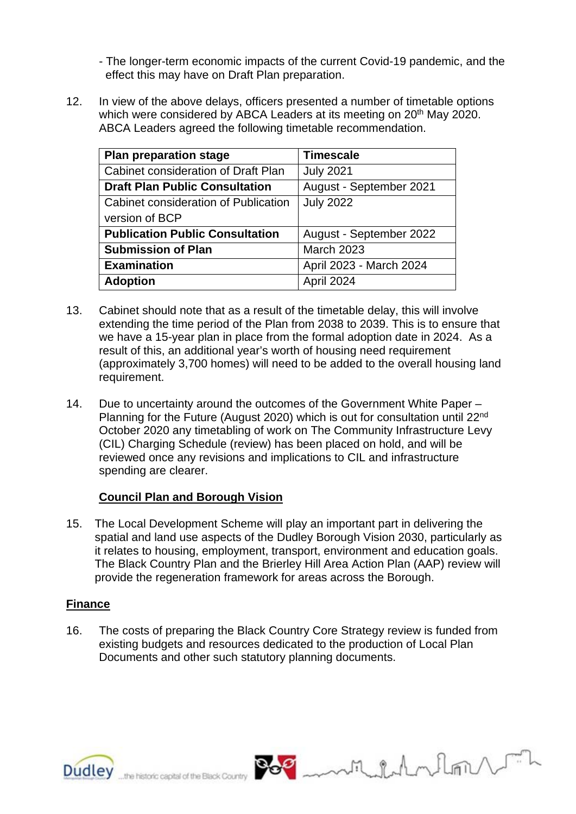- The longer-term economic impacts of the current Covid-19 pandemic, and the effect this may have on Draft Plan preparation.

12. In view of the above delays, officers presented a number of timetable options which were considered by ABCA Leaders at its meeting on 20<sup>th</sup> May 2020. ABCA Leaders agreed the following timetable recommendation.

| <b>Plan preparation stage</b>          | <b>Timescale</b>        |
|----------------------------------------|-------------------------|
| Cabinet consideration of Draft Plan    | <b>July 2021</b>        |
| <b>Draft Plan Public Consultation</b>  | August - September 2021 |
| Cabinet consideration of Publication   | <b>July 2022</b>        |
| version of BCP                         |                         |
| <b>Publication Public Consultation</b> | August - September 2022 |
| <b>Submission of Plan</b>              | <b>March 2023</b>       |
| <b>Examination</b>                     | April 2023 - March 2024 |
| <b>Adoption</b>                        | April 2024              |

- 13. Cabinet should note that as a result of the timetable delay, this will involve extending the time period of the Plan from 2038 to 2039. This is to ensure that we have a 15-year plan in place from the formal adoption date in 2024. As a result of this, an additional year's worth of housing need requirement (approximately 3,700 homes) will need to be added to the overall housing land requirement.
- 14. Due to uncertainty around the outcomes of the Government White Paper Planning for the Future (August 2020) which is out for consultation until 22<sup>nd</sup> October 2020 any timetabling of work on The Community Infrastructure Levy (CIL) Charging Schedule (review) has been placed on hold, and will be reviewed once any revisions and implications to CIL and infrastructure spending are clearer.

## **Council Plan and Borough Vision**

15. TheLocal Development Scheme will play an important part in delivering the spatial and land use aspects of the Dudley Borough Vision 2030, particularly as it relates to housing, employment, transport, environment and education goals. The Black Country Plan and the Brierley Hill Area Action Plan (AAP) review will provide the regeneration framework for areas across the Borough.

## **Finance**

16. The costs of preparing the Black Country Core Strategy review is funded from existing budgets and resources dedicated to the production of Local Plan Documents and other such statutory planning documents.

ruldnlan